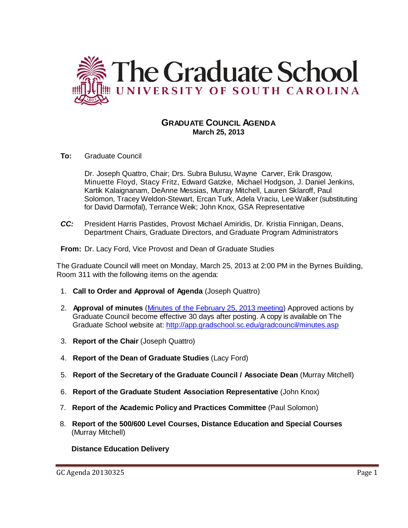

# **GRADUATE COUNCIL AGENDA March 25, 2013**

**To:** Graduate Council

Dr. Joseph Quattro, Chair; Drs. Subra Bulusu, Wayne Carver, Erik Drasgow, Minuette Floyd, Stacy Fritz, Edward Gatzke, Michael Hodgson, J. Daniel Jenkins, Kartik Kalaignanam, DeAnne Messias, Murray Mitchell, Lauren Sklaroff, Paul Solomon, Tracey Weldon-Stewart, Ercan Turk, Adela Vraciu, Lee Walker (substituting for David Darmofal), Terrance Weik; John Knox, GSA Representative

*CC:* President Harris Pastides, Provost Michael Amiridis, Dr. Kristia Finnigan, Deans, Department Chairs, Graduate Directors, and Graduate Program Administrators

**From:** Dr. Lacy Ford, Vice Provost and Dean of Graduate Studies

The Graduate Council will meet on Monday, March 25, 2013 at 2:00 PM in the Byrnes Building, Room 311 with the following items on the agenda:

- 1. **Call to Order and Approval of Agenda** (Joseph Quattro)
- 2. **Approval of minutes** (Minutes of the [February](https://app.gradschool.sc.edu/gms/grad/gc/gc_submit.asp?gcitemid=163&academic_year=2012) 25, 2013 meeting) Approved actions by Graduate Council become effective 30 days after posting. A copy is available on The Graduate School website at:<http://app.gradschool.sc.edu/gradcouncil/minutes.asp>
- 3. **Report of the Chair** (Joseph Quattro)
- 4. **Report of the Dean of Graduate Studies** (Lacy Ford)
- 5. **Report of the Secretary of the Graduate Council / Associate Dean** (Murray Mitchell)
- 6. **Report of the Graduate Student Association Representative** (John Knox)
- 7. **Report of the Academic Policy and Practices Committee** (Paul Solomon)
- 8. **Report of the 500/600 Level Courses, Distance Education and Special Courses** (Murray Mitchell)

**Distance Education Delivery**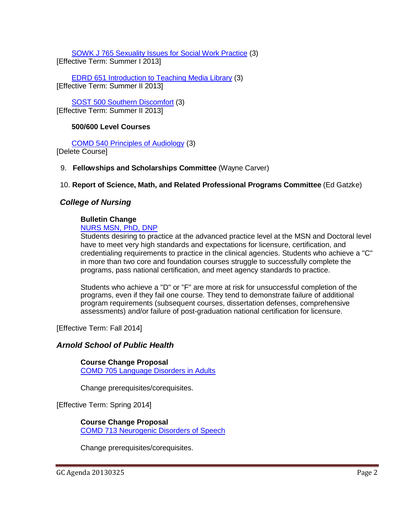[SOWK J 765 Sexuality Issues for Social Work Practice](http://gradschool.sc.edu/facstaff/gradcouncil/2012/SOWK%20J%20765%20Sexuality%20Issues%20for%20Social%20Work%20Practice%20DED_Redacted.pdf) (3) [Effective Term: Summer I 2013]

[EDRD 651 Introduction to Teaching Media Library](http://gradschool.sc.edu/facstaff/gradcouncil/2012/EDRD%20651%20Introduction%20to%20Teaching%20Media%20Library%20DED.pdf) (3) [Effective Term: Summer II 2013]

SOST 500 [Southern Discomfort](http://gradschool.sc.edu/facstaff/gradcouncil/2012/SOST%20500%20Southern%20Discomfort%20DED%20u20130325_Redacted.pdf) (3) [Effective Term: Summer II 2013]

#### **500/600 Level Courses**

[COMD 540 Principles of Audiology](http://gradschool.sc.edu/facstaff/gradcouncil/2012/COMD%20705%20Language%20Disorders%20in%20Adults%20CCP.pdf) (3) [Delete Course]

#### 9. **Fellowships and Scholarships Committee** (Wayne Carver)

#### 10. **Report of Science, Math, and Related Professional Programs Committee** (Ed Gatzke)

## *College of Nursing*

# **Bulletin Change**

[NURS MSN, PhD, DNP](http://gradschool.sc.edu/facstaff/gradcouncil/2012/NURS%20MSN,%20PhD,%20DNP%20BCH_Redacted.pdf)

Students desiring to practice at the advanced practice level at the MSN and Doctoral level have to meet very high standards and expectations for licensure, certification, and credentialing requirements to practice in the clinical agencies. Students who achieve a "C" in more than two core and foundation courses struggle to successfully complete the programs, pass national certification, and meet agency standards to practice.

Students who achieve a "D" or "F" are more at risk for unsuccessful completion of the programs, even if they fail one course. They tend to demonstrate failure of additional program requirements (subsequent courses, dissertation defenses, comprehensive assessments) and/or failure of post-graduation national certification for licensure.

[Effective Term: Fall 2014]

#### *Arnold School of Public Health*

**Course Change Proposal** [COMD 705 Language Disorders in Adults](http://gradschool.sc.edu/facstaff/gradcouncil/2012/COMD%20705%20Language%20Disorders%20in%20Adults%20CCP.pdf)

Change prerequisites/corequisites.

[Effective Term: Spring 2014]

# **Course Change Proposal**

[COMD 713 Neurogenic Disorders of Speech](http://gradschool.sc.edu/facstaff/gradcouncil/2012/COMD%20713%20Neurogenic%20Disorders%20of%20Speech%20CCP.pdf)

Change prerequisites/corequisites.

GC Agenda 20130325 Page 2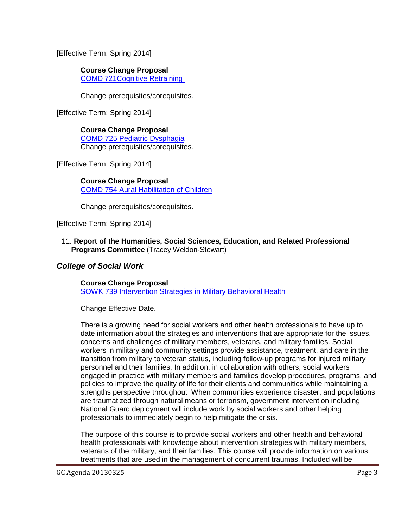[Effective Term: Spring 2014]

## **Course Change Proposal**

COMD [721Cognitive Retraining](http://gradschool.sc.edu/facstaff/gradcouncil/2012/COMD%20721%20Cognitive%20Retraining%20CCP.pdf) 

Change prerequisites/corequisites.

[Effective Term: Spring 2014]

**Course Change Proposal** [COMD 725 Pediatric Dysphagia](http://gradschool.sc.edu/facstaff/gradcouncil/2012/COMD%20725%20Pediatric%20Dysphagia%20CCP.pdf) Change prerequisites/corequisites.

[Effective Term: Spring 2014]

## **Course Change Proposal**

[COMD 754 Aural Habilitation of Children](http://gradschool.sc.edu/facstaff/gradcouncil/2012/COMD%20754%20Aural%20Habilitation%20of%20Children%20CCP.pdf)

Change prerequisites/corequisites.

[Effective Term: Spring 2014]

11. **Report of the Humanities, Social Sciences, Education, and Related Professional Programs Committee** (Tracey Weldon-Stewart)

# *College of Social Work*

**Course Change Proposal** [SOWK 739 Intervention Strategies in Military Behavioral Health](http://gradschool.sc.edu/facstaff/gradcouncil/2012/SOWK%20739%20Intervention%20Strategies%20in%20Military%20Behavioral%20Health%20CCP%20u.pdf)

Change Effective Date.

There is a growing need for social workers and other health professionals to have up to date information about the strategies and interventions that are appropriate for the issues, concerns and challenges of military members, veterans, and military families. Social workers in military and community settings provide assistance, treatment, and care in the transition from military to veteran status, including follow-up programs for injured military personnel and their families. In addition, in collaboration with others, social workers engaged in practice with military members and families develop procedures, programs, and policies to improve the quality of life for their clients and communities while maintaining a strengths perspective throughout When communities experience disaster, and populations are traumatized through natural means or terrorism, government intervention including National Guard deployment will include work by social workers and other helping professionals to immediately begin to help mitigate the crisis.

The purpose of this course is to provide social workers and other health and behavioral health professionals with knowledge about intervention strategies with military members, veterans of the military, and their families. This course will provide information on various treatments that are used in the management of concurrent traumas. Included will be